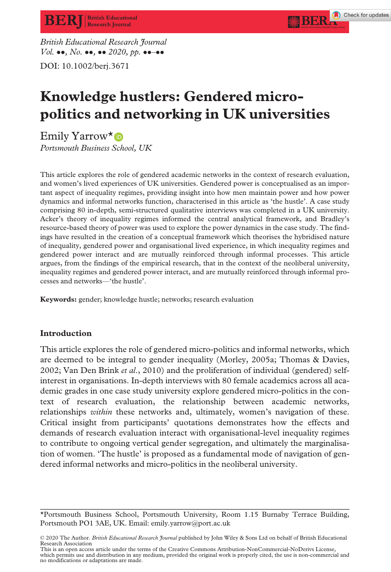British Educational Research Journal  $Vol. \bullet\bullet, No. \bullet\bullet, \bullet\bullet 2020, pp. \bullet\bullet\bullet\bullet\bullet$ 

DOI: 10.1002/berj.3671

# Knowledge hustlers: Gendered micropolitics and networking in UK universities

Emily Yarrow<sup>\*</sup>®

Portsmouth Business School, UK

This article explores the role of gendered academic networks in the context of research evaluation, and women's lived experiences of UK universities. Gendered power is conceptualised as an important aspect of inequality regimes, providing insight into how men maintain power and how power dynamics and informal networks function, characterised in this article as 'the hustle'. A case study comprising 80 in-depth, semi-structured qualitative interviews was completed in a UK university. Acker's theory of inequality regimes informed the central analytical framework, and Bradley's resource-based theory of power was used to explore the power dynamics in the case study. The findings have resulted in the creation of a conceptual framework which theorises the hybridised nature of inequality, gendered power and organisational lived experience, in which inequality regimes and gendered power interact and are mutually reinforced through informal processes. This article argues, from the findings of the empirical research, that in the context of the neoliberal university, inequality regimes and gendered power interact, and are mutually reinforced through informal processes and networks—'the hustle'.

Keywords: gender; knowledge hustle; networks; research evaluation

# Introduction

This article explores the role of gendered micro-politics and informal networks, which are deemed to be integral to gender inequality (Morley, 2005a; Thomas & Davies, 2002; Van Den Brink et al., 2010) and the proliferation of individual (gendered) selfinterest in organisations. In-depth interviews with 80 female academics across all academic grades in one case study university explore gendered micro-politics in the context of research evaluation, the relationship between academic networks, relationships within these networks and, ultimately, women's navigation of these. Critical insight from participants' quotations demonstrates how the effects and demands of research evaluation interact with organisational-level inequality regimes to contribute to ongoing vertical gender segregation, and ultimately the marginalisation of women. 'The hustle' is proposed as a fundamental mode of navigation of gendered informal networks and micro-politics in the neoliberal university.

<sup>\*</sup>Portsmouth Business School, Portsmouth University, Room 1.15 Burnaby Terrace Building, Portsmouth PO1 3AE, UK. Email: [emily.yarrow@port.ac.uk](mailto:)

<sup>© 2020</sup> The Author. British Educational Research Journal published by John Wiley & Sons Ltd on behalf of British Educational Research Association

This is an open access article under the terms of the [Creative Commons Attribution-NonCommercial-NoDerivs](http://creativecommons.org/licenses/by-nc-nd/4.0/) License, which permits use and distribution in any medium, provided the original work is properly cited, the use is non-commercial and no modifications or adaptations are made.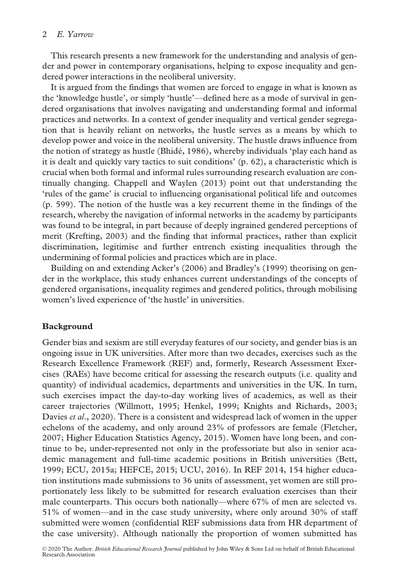## 2 E. Yarrow

This research presents a new framework for the understanding and analysis of gender and power in contemporary organisations, helping to expose inequality and gendered power interactions in the neoliberal university.

It is argued from the findings that women are forced to engage in what is known as the 'knowledge hustle', or simply 'hustle'—defined here as a mode of survival in gendered organisations that involves navigating and understanding formal and informal practices and networks. In a context of gender inequality and vertical gender segregation that is heavily reliant on networks, the hustle serves as a means by which to develop power and voice in the neoliberal university. The hustle draws influence from the notion of strategy as hustle (Bhide, 1986), whereby individuals 'play each hand as it is dealt and quickly vary tactics to suit conditions' (p. 62), a characteristic which is crucial when both formal and informal rules surrounding research evaluation are continually changing. Chappell and Waylen (2013) point out that understanding the 'rules of the game' is crucial to influencing organisational political life and outcomes (p. 599). The notion of the hustle was a key recurrent theme in the findings of the research, whereby the navigation of informal networks in the academy by participants was found to be integral, in part because of deeply ingrained gendered perceptions of merit (Krefting, 2003) and the finding that informal practices, rather than explicit discrimination, legitimise and further entrench existing inequalities through the undermining of formal policies and practices which are in place.

Building on and extending Acker's (2006) and Bradley's (1999) theorising on gender in the workplace, this study enhances current understandings of the concepts of gendered organisations, inequality regimes and gendered politics, through mobilising women's lived experience of 'the hustle' in universities.

### Background

Gender bias and sexism are still everyday features of our society, and gender bias is an ongoing issue in UK universities. After more than two decades, exercises such as the Research Excellence Framework (REF) and, formerly, Research Assessment Exercises (RAEs) have become critical for assessing the research outputs (i.e. quality and quantity) of individual academics, departments and universities in the UK. In turn, such exercises impact the day-to-day working lives of academics, as well as their career trajectories (Willmott, 1995; Henkel, 1999; Knights and Richards, 2003; Davies et al., 2020). There is a consistent and widespread lack of women in the upper echelons of the academy, and only around 23% of professors are female (Fletcher, 2007; Higher Education Statistics Agency, 2015). Women have long been, and continue to be, under-represented not only in the professoriate but also in senior academic management and full-time academic positions in British universities (Bett, 1999; ECU, 2015a; HEFCE, 2015; UCU, 2016). In REF 2014, 154 higher education institutions made submissions to 36 units of assessment, yet women are still proportionately less likely to be submitted for research evaluation exercises than their male counterparts. This occurs both nationally—where 67% of men are selected vs. 51% of women—and in the case study university, where only around 30% of staff submitted were women (confidential REF submissions data from HR department of the case university). Although nationally the proportion of women submitted has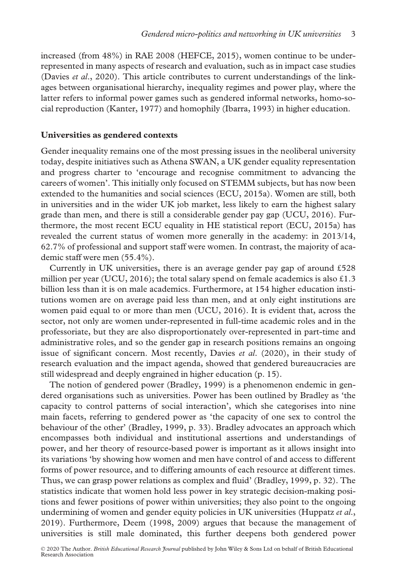increased (from 48%) in RAE 2008 (HEFCE, 2015), women continue to be underrepresented in many aspects of research and evaluation, such as in impact case studies (Davies *et al.*, 2020). This article contributes to current understandings of the linkages between organisational hierarchy, inequality regimes and power play, where the latter refers to informal power games such as gendered informal networks, homo-social reproduction (Kanter, 1977) and homophily (Ibarra, 1993) in higher education.

#### Universities as gendered contexts

Gender inequality remains one of the most pressing issues in the neoliberal university today, despite initiatives such as Athena SWAN, a UK gender equality representation and progress charter to 'encourage and recognise commitment to advancing the careers of women'. This initially only focused on STEMM subjects, but has now been extended to the humanities and social sciences (ECU, 2015a). Women are still, both in universities and in the wider UK job market, less likely to earn the highest salary grade than men, and there is still a considerable gender pay gap (UCU, 2016). Furthermore, the most recent ECU equality in HE statistical report (ECU, 2015a) has revealed the current status of women more generally in the academy: in 2013/14, 62.7% of professional and support staff were women. In contrast, the majority of academic staff were men (55.4%).

Currently in UK universities, there is an average gender pay gap of around £528 million per year (UCU, 2016); the total salary spend on female academics is also  $\pounds1.3$ billion less than it is on male academics. Furthermore, at 154 higher education institutions women are on average paid less than men, and at only eight institutions are women paid equal to or more than men (UCU, 2016). It is evident that, across the sector, not only are women under-represented in full-time academic roles and in the professoriate, but they are also disproportionately over-represented in part-time and administrative roles, and so the gender gap in research positions remains an ongoing issue of significant concern. Most recently, Davies et al. (2020), in their study of research evaluation and the impact agenda, showed that gendered bureaucracies are still widespread and deeply engrained in higher education (p. 15).

The notion of gendered power (Bradley, 1999) is a phenomenon endemic in gendered organisations such as universities. Power has been outlined by Bradley as 'the capacity to control patterns of social interaction', which she categorises into nine main facets, referring to gendered power as 'the capacity of one sex to control the behaviour of the other' (Bradley, 1999, p. 33). Bradley advocates an approach which encompasses both individual and institutional assertions and understandings of power, and her theory of resource-based power is important as it allows insight into its variations 'by showing how women and men have control of and access to different forms of power resource, and to differing amounts of each resource at different times. Thus, we can grasp power relations as complex and fluid' (Bradley, 1999, p. 32). The statistics indicate that women hold less power in key strategic decision-making positions and fewer positions of power within universities; they also point to the ongoing undermining of women and gender equity policies in UK universities (Huppatz  $et al.,$ 2019). Furthermore, Deem (1998, 2009) argues that because the management of universities is still male dominated, this further deepens both gendered power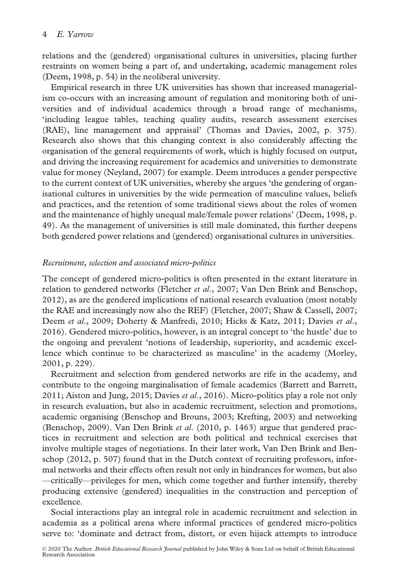relations and the (gendered) organisational cultures in universities, placing further restraints on women being a part of, and undertaking, academic management roles (Deem, 1998, p. 54) in the neoliberal university.

Empirical research in three UK universities has shown that increased managerialism co-occurs with an increasing amount of regulation and monitoring both of universities and of individual academics through a broad range of mechanisms, 'including league tables, teaching quality audits, research assessment exercises (RAE), line management and appraisal' (Thomas and Davies, 2002, p. 375). Research also shows that this changing context is also considerably affecting the organisation of the general requirements of work, which is highly focused on output, and driving the increasing requirement for academics and universities to demonstrate value for money (Neyland, 2007) for example. Deem introduces a gender perspective to the current context of UK universities, whereby she argues 'the gendering of organisational cultures in universities by the wide permeation of masculine values, beliefs and practices, and the retention of some traditional views about the roles of women and the maintenance of highly unequal male/female power relations' (Deem, 1998, p. 49). As the management of universities is still male dominated, this further deepens both gendered power relations and (gendered) organisational cultures in universities.

## Recruitment, selection and associated micro-politics

The concept of gendered micro-politics is often presented in the extant literature in relation to gendered networks (Fletcher et al., 2007; Van Den Brink and Benschop, 2012), as are the gendered implications of national research evaluation (most notably the RAE and increasingly now also the REF) (Fletcher, 2007; Shaw & Cassell, 2007; Deem et al., 2009; Doherty & Manfredi, 2010; Hicks & Katz, 2011; Davies et al., 2016). Gendered micro-politics, however, is an integral concept to 'the hustle' due to the ongoing and prevalent 'notions of leadership, superiority, and academic excellence which continue to be characterized as masculine' in the academy (Morley, 2001, p. 229).

Recruitment and selection from gendered networks are rife in the academy, and contribute to the ongoing marginalisation of female academics (Barrett and Barrett, 2011; Aiston and Jung, 2015; Davies et al., 2016). Micro-politics play a role not only in research evaluation, but also in academic recruitment, selection and promotions, academic organising (Benschop and Brouns, 2003; Krefting, 2003) and networking (Benschop, 2009). Van Den Brink et al. (2010, p. 1463) argue that gendered practices in recruitment and selection are both political and technical exercises that involve multiple stages of negotiations. In their later work, Van Den Brink and Benschop (2012, p. 507) found that in the Dutch context of recruiting professors, informal networks and their effects often result not only in hindrances for women, but also —critically—privileges for men, which come together and further intensify, thereby producing extensive (gendered) inequalities in the construction and perception of excellence.

Social interactions play an integral role in academic recruitment and selection in academia as a political arena where informal practices of gendered micro-politics serve to: 'dominate and detract from, distort, or even hijack attempts to introduce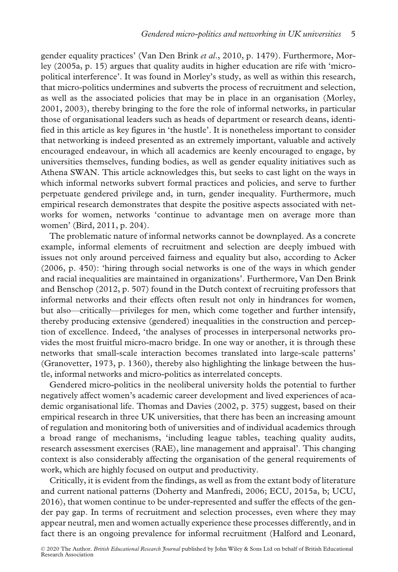gender equality practices' (Van Den Brink et al., 2010, p. 1479). Furthermore, Morley (2005a, p. 15) argues that quality audits in higher education are rife with 'micropolitical interference'. It was found in Morley's study, as well as within this research, that micro-politics undermines and subverts the process of recruitment and selection, as well as the associated policies that may be in place in an organisation (Morley, 2001, 2003), thereby bringing to the fore the role of informal networks, in particular those of organisational leaders such as heads of department or research deans, identified in this article as key figures in 'the hustle'. It is nonetheless important to consider that networking is indeed presented as an extremely important, valuable and actively encouraged endeavour, in which all academics are keenly encouraged to engage, by universities themselves, funding bodies, as well as gender equality initiatives such as Athena SWAN. This article acknowledges this, but seeks to cast light on the ways in which informal networks subvert formal practices and policies, and serve to further perpetuate gendered privilege and, in turn, gender inequality. Furthermore, much empirical research demonstrates that despite the positive aspects associated with networks for women, networks 'continue to advantage men on average more than women' (Bird, 2011, p. 204).

The problematic nature of informal networks cannot be downplayed. As a concrete example, informal elements of recruitment and selection are deeply imbued with issues not only around perceived fairness and equality but also, according to Acker (2006, p. 450): 'hiring through social networks is one of the ways in which gender and racial inequalities are maintained in organizations'. Furthermore, Van Den Brink and Benschop (2012, p. 507) found in the Dutch context of recruiting professors that informal networks and their effects often result not only in hindrances for women, but also—critically—privileges for men, which come together and further intensify, thereby producing extensive (gendered) inequalities in the construction and perception of excellence. Indeed, 'the analyses of processes in interpersonal networks provides the most fruitful micro-macro bridge. In one way or another, it is through these networks that small-scale interaction becomes translated into large-scale patterns' (Granovetter, 1973, p. 1360), thereby also highlighting the linkage between the hustle, informal networks and micro-politics as interrelated concepts.

Gendered micro-politics in the neoliberal university holds the potential to further negatively affect women's academic career development and lived experiences of academic organisational life. Thomas and Davies (2002, p. 375) suggest, based on their empirical research in three UK universities, that there has been an increasing amount of regulation and monitoring both of universities and of individual academics through a broad range of mechanisms, 'including league tables, teaching quality audits, research assessment exercises (RAE), line management and appraisal'. This changing context is also considerably affecting the organisation of the general requirements of work, which are highly focused on output and productivity.

Critically, it is evident from the findings, as well as from the extant body of literature and current national patterns (Doherty and Manfredi, 2006; ECU, 2015a, b; UCU, 2016), that women continue to be under-represented and suffer the effects of the gender pay gap. In terms of recruitment and selection processes, even where they may appear neutral, men and women actually experience these processes differently, and in fact there is an ongoing prevalence for informal recruitment (Halford and Leonard,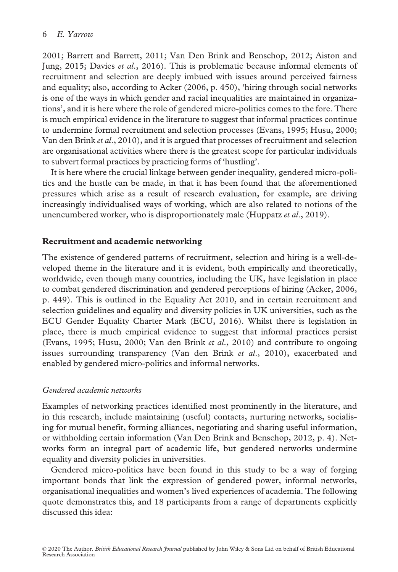2001; Barrett and Barrett, 2011; Van Den Brink and Benschop, 2012; Aiston and Jung, 2015; Davies et al., 2016). This is problematic because informal elements of recruitment and selection are deeply imbued with issues around perceived fairness and equality; also, according to Acker (2006, p. 450), 'hiring through social networks is one of the ways in which gender and racial inequalities are maintained in organizations', and it is here where the role of gendered micro-politics comes to the fore. There is much empirical evidence in the literature to suggest that informal practices continue to undermine formal recruitment and selection processes (Evans, 1995; Husu, 2000; Van den Brink et al., 2010), and it is argued that processes of recruitment and selection are organisational activities where there is the greatest scope for particular individuals to subvert formal practices by practicing forms of 'hustling'.

It is here where the crucial linkage between gender inequality, gendered micro-politics and the hustle can be made, in that it has been found that the aforementioned pressures which arise as a result of research evaluation, for example, are driving increasingly individualised ways of working, which are also related to notions of the unencumbered worker, who is disproportionately male (Huppatz et al., 2019).

### Recruitment and academic networking

The existence of gendered patterns of recruitment, selection and hiring is a well-developed theme in the literature and it is evident, both empirically and theoretically, worldwide, even though many countries, including the UK, have legislation in place to combat gendered discrimination and gendered perceptions of hiring (Acker, 2006, p. 449). This is outlined in the Equality Act 2010, and in certain recruitment and selection guidelines and equality and diversity policies in UK universities, such as the ECU Gender Equality Charter Mark (ECU, 2016). Whilst there is legislation in place, there is much empirical evidence to suggest that informal practices persist (Evans, 1995; Husu, 2000; Van den Brink et al., 2010) and contribute to ongoing issues surrounding transparency (Van den Brink et al., 2010), exacerbated and enabled by gendered micro-politics and informal networks.

### Gendered academic networks

Examples of networking practices identified most prominently in the literature, and in this research, include maintaining (useful) contacts, nurturing networks, socialising for mutual benefit, forming alliances, negotiating and sharing useful information, or withholding certain information (Van Den Brink and Benschop, 2012, p. 4). Networks form an integral part of academic life, but gendered networks undermine equality and diversity policies in universities.

Gendered micro-politics have been found in this study to be a way of forging important bonds that link the expression of gendered power, informal networks, organisational inequalities and women's lived experiences of academia. The following quote demonstrates this, and 18 participants from a range of departments explicitly discussed this idea: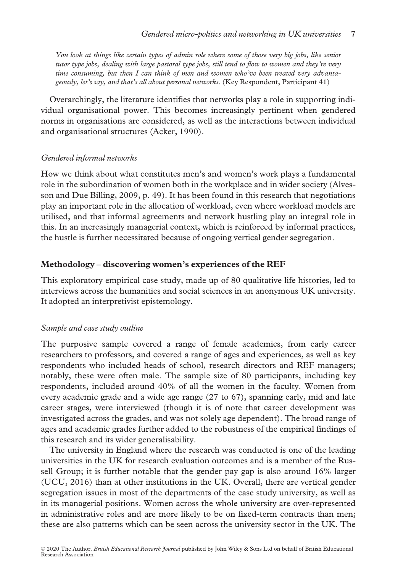You look at things like certain types of admin role where some of those very big jobs, like senior tutor type jobs, dealing with large pastoral type jobs, still tend to flow to women and they're very time consuming, but then I can think of men and women who've been treated very advantageously, let's say, and that's all about personal networks. (Key Respondent, Participant 41)

Overarchingly, the literature identifies that networks play a role in supporting individual organisational power. This becomes increasingly pertinent when gendered norms in organisations are considered, as well as the interactions between individual and organisational structures (Acker, 1990).

#### Gendered informal networks

How we think about what constitutes men's and women's work plays a fundamental role in the subordination of women both in the workplace and in wider society (Alvesson and Due Billing, 2009, p. 49). It has been found in this research that negotiations play an important role in the allocation of workload, even where workload models are utilised, and that informal agreements and network hustling play an integral role in this. In an increasingly managerial context, which is reinforced by informal practices, the hustle is further necessitated because of ongoing vertical gender segregation.

### Methodology – discovering women's experiences of the REF

This exploratory empirical case study, made up of 80 qualitative life histories, led to interviews across the humanities and social sciences in an anonymous UK university. It adopted an interpretivist epistemology.

### Sample and case study outline

The purposive sample covered a range of female academics, from early career researchers to professors, and covered a range of ages and experiences, as well as key respondents who included heads of school, research directors and REF managers; notably, these were often male. The sample size of 80 participants, including key respondents, included around 40% of all the women in the faculty. Women from every academic grade and a wide age range (27 to 67), spanning early, mid and late career stages, were interviewed (though it is of note that career development was investigated across the grades, and was not solely age dependent). The broad range of ages and academic grades further added to the robustness of the empirical findings of this research and its wider generalisability.

The university in England where the research was conducted is one of the leading universities in the UK for research evaluation outcomes and is a member of the Russell Group; it is further notable that the gender pay gap is also around 16% larger (UCU, 2016) than at other institutions in the UK. Overall, there are vertical gender segregation issues in most of the departments of the case study university, as well as in its managerial positions. Women across the whole university are over-represented in administrative roles and are more likely to be on fixed-term contracts than men; these are also patterns which can be seen across the university sector in the UK. The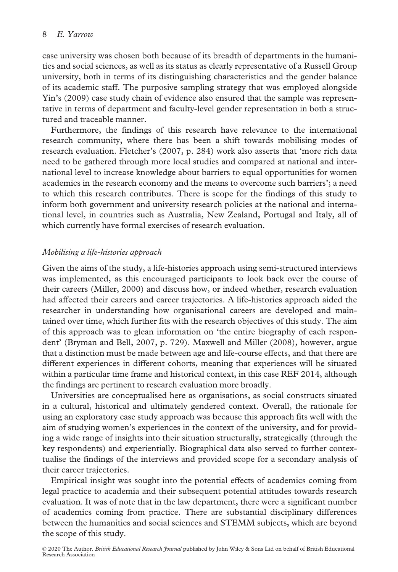case university was chosen both because of its breadth of departments in the humanities and social sciences, as well as its status as clearly representative of a Russell Group university, both in terms of its distinguishing characteristics and the gender balance of its academic staff. The purposive sampling strategy that was employed alongside Yin's (2009) case study chain of evidence also ensured that the sample was representative in terms of department and faculty-level gender representation in both a structured and traceable manner.

Furthermore, the findings of this research have relevance to the international research community, where there has been a shift towards mobilising modes of research evaluation. Fletcher's (2007, p. 284) work also asserts that 'more rich data need to be gathered through more local studies and compared at national and international level to increase knowledge about barriers to equal opportunities for women academics in the research economy and the means to overcome such barriers'; a need to which this research contributes. There is scope for the findings of this study to inform both government and university research policies at the national and international level, in countries such as Australia, New Zealand, Portugal and Italy, all of which currently have formal exercises of research evaluation.

## Mobilising a life-histories approach

Given the aims of the study, a life-histories approach using semi-structured interviews was implemented, as this encouraged participants to look back over the course of their careers (Miller, 2000) and discuss how, or indeed whether, research evaluation had affected their careers and career trajectories. A life-histories approach aided the researcher in understanding how organisational careers are developed and maintained over time, which further fits with the research objectives of this study. The aim of this approach was to glean information on 'the entire biography of each respondent' (Bryman and Bell, 2007, p. 729). Maxwell and Miller (2008), however, argue that a distinction must be made between age and life-course effects, and that there are different experiences in different cohorts, meaning that experiences will be situated within a particular time frame and historical context, in this case REF 2014, although the findings are pertinent to research evaluation more broadly.

Universities are conceptualised here as organisations, as social constructs situated in a cultural, historical and ultimately gendered context. Overall, the rationale for using an exploratory case study approach was because this approach fits well with the aim of studying women's experiences in the context of the university, and for providing a wide range of insights into their situation structurally, strategically (through the key respondents) and experientially. Biographical data also served to further contextualise the findings of the interviews and provided scope for a secondary analysis of their career trajectories.

Empirical insight was sought into the potential effects of academics coming from legal practice to academia and their subsequent potential attitudes towards research evaluation. It was of note that in the law department, there were a significant number of academics coming from practice. There are substantial disciplinary differences between the humanities and social sciences and STEMM subjects, which are beyond the scope of this study.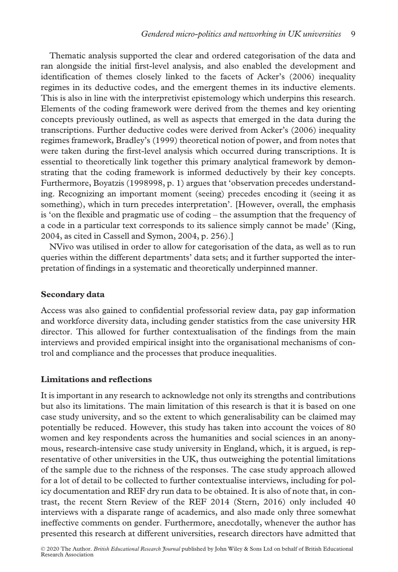Thematic analysis supported the clear and ordered categorisation of the data and ran alongside the initial first-level analysis, and also enabled the development and identification of themes closely linked to the facets of Acker's (2006) inequality regimes in its deductive codes, and the emergent themes in its inductive elements. This is also in line with the interpretivist epistemology which underpins this research. Elements of the coding framework were derived from the themes and key orienting concepts previously outlined, as well as aspects that emerged in the data during the transcriptions. Further deductive codes were derived from Acker's (2006) inequality regimes framework, Bradley's (1999) theoretical notion of power, and from notes that were taken during the first-level analysis which occurred during transcriptions. It is essential to theoretically link together this primary analytical framework by demonstrating that the coding framework is informed deductively by their key concepts. Furthermore, Boyatzis (1998998, p. 1) argues that 'observation precedes understanding. Recognizing an important moment (seeing) precedes encoding it (seeing it as something), which in turn precedes interpretation'. [However, overall, the emphasis is 'on the flexible and pragmatic use of coding – the assumption that the frequency of a code in a particular text corresponds to its salience simply cannot be made' (King, 2004, as cited in Cassell and Symon, 2004, p. 256).]

NVivo was utilised in order to allow for categorisation of the data, as well as to run queries within the different departments' data sets; and it further supported the interpretation of findings in a systematic and theoretically underpinned manner.

#### Secondary data

Access was also gained to confidential professorial review data, pay gap information and workforce diversity data, including gender statistics from the case university HR director. This allowed for further contextualisation of the findings from the main interviews and provided empirical insight into the organisational mechanisms of control and compliance and the processes that produce inequalities.

### Limitations and reflections

It is important in any research to acknowledge not only its strengths and contributions but also its limitations. The main limitation of this research is that it is based on one case study university, and so the extent to which generalisability can be claimed may potentially be reduced. However, this study has taken into account the voices of 80 women and key respondents across the humanities and social sciences in an anonymous, research-intensive case study university in England, which, it is argued, is representative of other universities in the UK, thus outweighing the potential limitations of the sample due to the richness of the responses. The case study approach allowed for a lot of detail to be collected to further contextualise interviews, including for policy documentation and REF dry run data to be obtained. It is also of note that, in contrast, the recent Stern Review of the REF 2014 (Stern, 2016) only included 40 interviews with a disparate range of academics, and also made only three somewhat ineffective comments on gender. Furthermore, anecdotally, whenever the author has presented this research at different universities, research directors have admitted that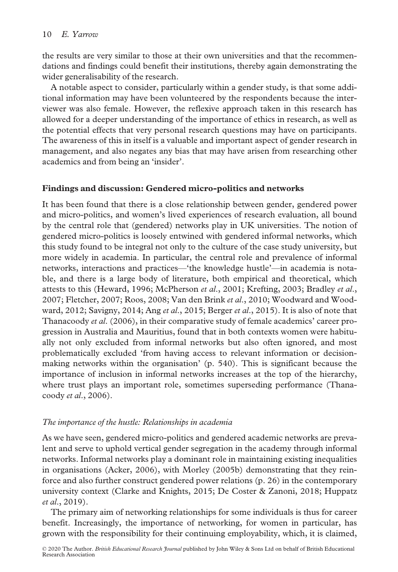the results are very similar to those at their own universities and that the recommendations and findings could benefit their institutions, thereby again demonstrating the wider generalisability of the research.

A notable aspect to consider, particularly within a gender study, is that some additional information may have been volunteered by the respondents because the interviewer was also female. However, the reflexive approach taken in this research has allowed for a deeper understanding of the importance of ethics in research, as well as the potential effects that very personal research questions may have on participants. The awareness of this in itself is a valuable and important aspect of gender research in management, and also negates any bias that may have arisen from researching other academics and from being an 'insider'.

## Findings and discussion: Gendered micro-politics and networks

It has been found that there is a close relationship between gender, gendered power and micro-politics, and women's lived experiences of research evaluation, all bound by the central role that (gendered) networks play in UK universities. The notion of gendered micro-politics is loosely entwined with gendered informal networks, which this study found to be integral not only to the culture of the case study university, but more widely in academia. In particular, the central role and prevalence of informal networks, interactions and practices—'the knowledge hustle'—in academia is notable, and there is a large body of literature, both empirical and theoretical, which attests to this (Heward, 1996; McPherson et al., 2001; Krefting, 2003; Bradley et al., 2007; Fletcher, 2007; Roos, 2008; Van den Brink et al., 2010; Woodward and Woodward, 2012; Savigny, 2014; Ang et al., 2015; Berger et al., 2015). It is also of note that Thanacoody et al. (2006), in their comparative study of female academics' career progression in Australia and Mauritius, found that in both contexts women were habitually not only excluded from informal networks but also often ignored, and most problematically excluded 'from having access to relevant information or decisionmaking networks within the organisation' (p. 540). This is significant because the importance of inclusion in informal networks increases at the top of the hierarchy, where trust plays an important role, sometimes superseding performance (Thanacoody et al., 2006).

## The importance of the hustle: Relationships in academia

As we have seen, gendered micro-politics and gendered academic networks are prevalent and serve to uphold vertical gender segregation in the academy through informal networks. Informal networks play a dominant role in maintaining existing inequalities in organisations (Acker, 2006), with Morley (2005b) demonstrating that they reinforce and also further construct gendered power relations (p. 26) in the contemporary university context (Clarke and Knights, 2015; De Coster & Zanoni, 2018; Huppatz et al., 2019).

The primary aim of networking relationships for some individuals is thus for career benefit. Increasingly, the importance of networking, for women in particular, has grown with the responsibility for their continuing employability, which, it is claimed,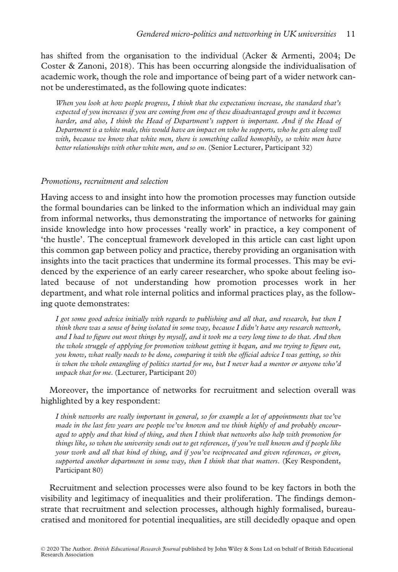has shifted from the organisation to the individual (Acker & Armenti, 2004; De Coster & Zanoni, 2018). This has been occurring alongside the individualisation of academic work, though the role and importance of being part of a wider network cannot be underestimated, as the following quote indicates:

When you look at how people progress, I think that the expectations increase, the standard that's expected of you increases if you are coming from one of these disadvantaged groups and it becomes harder, and also, I think the Head of Department's support is important. And if the Head of Department is a white male, this would have an impact on who he supports, who he gets along well with, because we know that white men, there is something called homophily, so white men have better relationships with other white men, and so on. (Senior Lecturer, Participant 32)

#### Promotions, recruitment and selection

Having access to and insight into how the promotion processes may function outside the formal boundaries can be linked to the information which an individual may gain from informal networks, thus demonstrating the importance of networks for gaining inside knowledge into how processes 'really work' in practice, a key component of 'the hustle'. The conceptual framework developed in this article can cast light upon this common gap between policy and practice, thereby providing an organisation with insights into the tacit practices that undermine its formal processes. This may be evidenced by the experience of an early career researcher, who spoke about feeling isolated because of not understanding how promotion processes work in her department, and what role internal politics and informal practices play, as the following quote demonstrates:

I got some good advice initially with regards to publishing and all that, and research, but then I think there was a sense of being isolated in some way, because I didn't have any research network, and I had to figure out most things by myself, and it took me a very long time to do that. And then the whole struggle of applying for promotion without getting it began, and me trying to figure out, you know, what really needs to be done, comparing it with the official advice I was getting, so this is when the whole entangling of politics started for me, but I never had a mentor or anyone who'd unpack that for me. (Lecturer, Participant 20)

## Moreover, the importance of networks for recruitment and selection overall was highlighted by a key respondent:

I think networks are really important in general, so for example a lot of appointments that we've made in the last few years are people we've known and we think highly of and probably encouraged to apply and that kind of thing, and then I think that networks also help with promotion for things like, so when the university sends out to get references, if you're well known and if people like your work and all that kind of thing, and if you've reciprocated and given references, or given, supported another department in some way, then I think that that matters. (Key Respondent, Participant 80)

Recruitment and selection processes were also found to be key factors in both the visibility and legitimacy of inequalities and their proliferation. The findings demonstrate that recruitment and selection processes, although highly formalised, bureaucratised and monitored for potential inequalities, are still decidedly opaque and open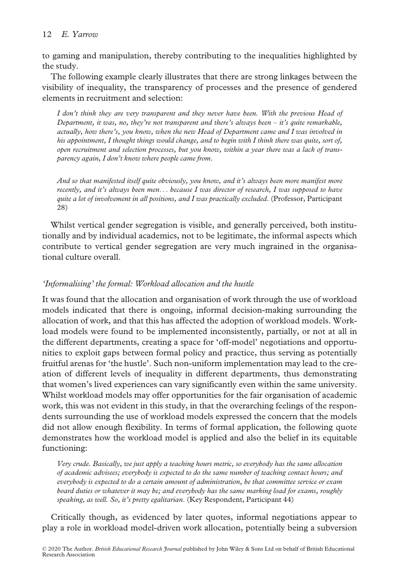## 12 E. Yarrow

to gaming and manipulation, thereby contributing to the inequalities highlighted by the study.

The following example clearly illustrates that there are strong linkages between the visibility of inequality, the transparency of processes and the presence of gendered elements in recruitment and selection:

I don't think they are very transparent and they never have been. With the previous Head of Department, it was, no, they're not transparent and there's always been  $-i$  it's quite remarkable, actually, how there's, you know, when the new Head of Department came and I was involved in his appointment, I thought things would change, and to begin with I think there was quite, sort of, open recruitment and selection processes, but you know, within a year there was a lack of transparency again, I don't know where people came from.

And so that manifested itself quite obviously, you know, and it's always been more manifest more recently, and it's always been men... because I was director of research, I was supposed to have quite a lot of involvement in all positions, and I was practically excluded. (Professor, Participant 28)

Whilst vertical gender segregation is visible, and generally perceived, both institutionally and by individual academics, not to be legitimate, the informal aspects which contribute to vertical gender segregation are very much ingrained in the organisational culture overall.

## 'Informalising' the formal: Workload allocation and the hustle

It was found that the allocation and organisation of work through the use of workload models indicated that there is ongoing, informal decision-making surrounding the allocation of work, and that this has affected the adoption of workload models. Workload models were found to be implemented inconsistently, partially, or not at all in the different departments, creating a space for 'off-model' negotiations and opportunities to exploit gaps between formal policy and practice, thus serving as potentially fruitful arenas for 'the hustle'. Such non-uniform implementation may lead to the creation of different levels of inequality in different departments, thus demonstrating that women's lived experiences can vary significantly even within the same university. Whilst workload models may offer opportunities for the fair organisation of academic work, this was not evident in this study, in that the overarching feelings of the respondents surrounding the use of workload models expressed the concern that the models did not allow enough flexibility. In terms of formal application, the following quote demonstrates how the workload model is applied and also the belief in its equitable functioning:

Very crude. Basically, we just apply a teaching hours metric, so everybody has the same allocation of academic advisees; everybody is expected to do the same number of teaching contact hours; and everybody is expected to do a certain amount of administration, be that committee service or exam board duties or whatever it may be; and everybody has the same marking load for exams, roughly speaking, as well. So, it's pretty egalitarian. (Key Respondent, Participant 44)

Critically though, as evidenced by later quotes, informal negotiations appear to play a role in workload model-driven work allocation, potentially being a subversion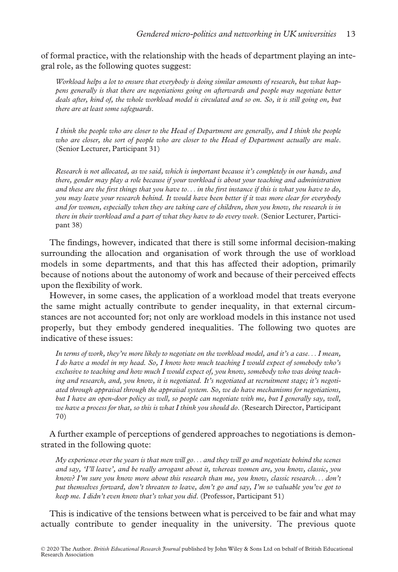of formal practice, with the relationship with the heads of department playing an integral role, as the following quotes suggest:

Workload helps a lot to ensure that everybody is doing similar amounts of research, but what happens generally is that there are negotiations going on afterwards and people may negotiate better deals after, kind of, the whole workload model is circulated and so on. So, it is still going on, but there are at least some safeguards.

I think the people who are closer to the Head of Department are generally, and I think the people who are closer, the sort of people who are closer to the Head of Department actually are male. (Senior Lecturer, Participant 31)

Research is not allocated, as we said, which is important because it's completely in our hands, and there, gender may play a role because if your workload is about your teaching and administration and these are the first things that you have to... in the first instance if this is what you have to do, you may leave your research behind. It would have been better if it was more clear for everybody and for women, especially when they are taking care of children, then you know, the research is in there in their workload and a part of what they have to do every week. (Senior Lecturer, Participant 38)

The findings, however, indicated that there is still some informal decision-making surrounding the allocation and organisation of work through the use of workload models in some departments, and that this has affected their adoption, primarily because of notions about the autonomy of work and because of their perceived effects upon the flexibility of work.

However, in some cases, the application of a workload model that treats everyone the same might actually contribute to gender inequality, in that external circumstances are not accounted for; not only are workload models in this instance not used properly, but they embody gendered inequalities. The following two quotes are indicative of these issues:

In terms of work, they're more likely to negotiate on the workload model, and it's a case... I mean, I do have a model in my head. So, I know how much teaching I would expect of somebody who's exclusive to teaching and how much I would expect of, you know, somebody who was doing teaching and research, and, you know, it is negotiated. It's negotiated at recruitment stage; it's negotiated through appraisal through the appraisal system. So, we do have mechanisms for negotiations, but I have an open-door policy as well, so people can negotiate with me, but I generally say, well, we have a process for that, so this is what I think you should do. (Research Director, Participant 70)

A further example of perceptions of gendered approaches to negotiations is demonstrated in the following quote:

My experience over the years is that men will go... and they will go and negotiate behind the scenes and say, 'I'll leave', and be really arrogant about it, whereas women are, you know, classic, you know? I'm sure you know more about this research than me, you know, classic research... don't put themselves forward, don't threaten to leave, don't go and say, I'm so valuable you've got to keep me. I didn't even know that's what you did. (Professor, Participant 51)

This is indicative of the tensions between what is perceived to be fair and what may actually contribute to gender inequality in the university. The previous quote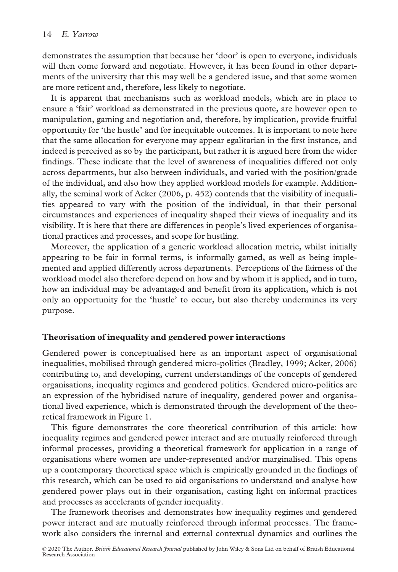demonstrates the assumption that because her 'door' is open to everyone, individuals will then come forward and negotiate. However, it has been found in other departments of the university that this may well be a gendered issue, and that some women are more reticent and, therefore, less likely to negotiate.

It is apparent that mechanisms such as workload models, which are in place to ensure a 'fair' workload as demonstrated in the previous quote, are however open to manipulation, gaming and negotiation and, therefore, by implication, provide fruitful opportunity for 'the hustle' and for inequitable outcomes. It is important to note here that the same allocation for everyone may appear egalitarian in the first instance, and indeed is perceived as so by the participant, but rather it is argued here from the wider findings. These indicate that the level of awareness of inequalities differed not only across departments, but also between individuals, and varied with the position/grade of the individual, and also how they applied workload models for example. Additionally, the seminal work of Acker (2006, p. 452) contends that the visibility of inequalities appeared to vary with the position of the individual, in that their personal circumstances and experiences of inequality shaped their views of inequality and its visibility. It is here that there are differences in people's lived experiences of organisational practices and processes, and scope for hustling.

Moreover, the application of a generic workload allocation metric, whilst initially appearing to be fair in formal terms, is informally gamed, as well as being implemented and applied differently across departments. Perceptions of the fairness of the workload model also therefore depend on how and by whom it is applied, and in turn, how an individual may be advantaged and benefit from its application, which is not only an opportunity for the 'hustle' to occur, but also thereby undermines its very purpose.

### Theorisation of inequality and gendered power interactions

Gendered power is conceptualised here as an important aspect of organisational inequalities, mobilised through gendered micro-politics (Bradley, 1999; Acker, 2006) contributing to, and developing, current understandings of the concepts of gendered organisations, inequality regimes and gendered politics. Gendered micro-politics are an expression of the hybridised nature of inequality, gendered power and organisational lived experience, which is demonstrated through the development of the theoretical framework in Figure 1.

This figure demonstrates the core theoretical contribution of this article: how inequality regimes and gendered power interact and are mutually reinforced through informal processes, providing a theoretical framework for application in a range of organisations where women are under-represented and/or marginalised. This opens up a contemporary theoretical space which is empirically grounded in the findings of this research, which can be used to aid organisations to understand and analyse how gendered power plays out in their organisation, casting light on informal practices and processes as accelerants of gender inequality.

The framework theorises and demonstrates how inequality regimes and gendered power interact and are mutually reinforced through informal processes. The framework also considers the internal and external contextual dynamics and outlines the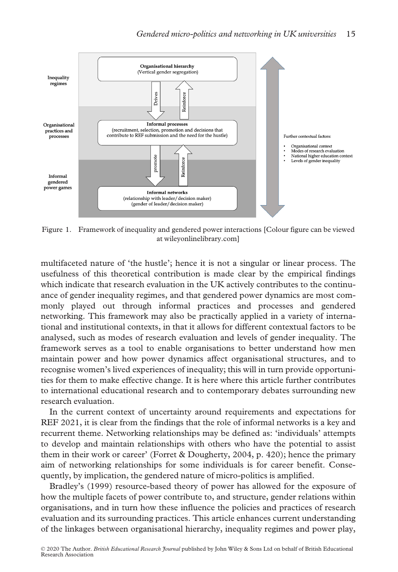

Figure 1. Framework of inequality and gendered power interactions [Colour figure can be viewed at [wileyonlinelibrary.com\]](www.wileyonlinelibrary.com)

multifaceted nature of 'the hustle'; hence it is not a singular or linear process. The usefulness of this theoretical contribution is made clear by the empirical findings which indicate that research evaluation in the UK actively contributes to the continuance of gender inequality regimes, and that gendered power dynamics are most commonly played out through informal practices and processes and gendered networking. This framework may also be practically applied in a variety of international and institutional contexts, in that it allows for different contextual factors to be analysed, such as modes of research evaluation and levels of gender inequality. The framework serves as a tool to enable organisations to better understand how men maintain power and how power dynamics affect organisational structures, and to recognise women's lived experiences of inequality; this will in turn provide opportunities for them to make effective change. It is here where this article further contributes to international educational research and to contemporary debates surrounding new research evaluation.

In the current context of uncertainty around requirements and expectations for REF 2021, it is clear from the findings that the role of informal networks is a key and recurrent theme. Networking relationships may be defined as: 'individuals' attempts to develop and maintain relationships with others who have the potential to assist them in their work or career' (Forret & Dougherty, 2004, p. 420); hence the primary aim of networking relationships for some individuals is for career benefit. Consequently, by implication, the gendered nature of micro-politics is amplified.

Bradley's (1999) resource-based theory of power has allowed for the exposure of how the multiple facets of power contribute to, and structure, gender relations within organisations, and in turn how these influence the policies and practices of research evaluation and its surrounding practices. This article enhances current understanding of the linkages between organisational hierarchy, inequality regimes and power play,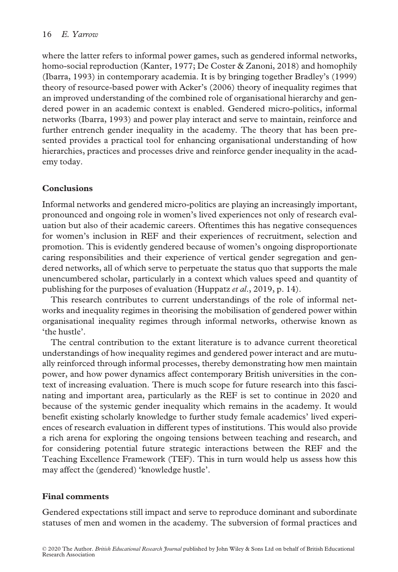where the latter refers to informal power games, such as gendered informal networks, homo-social reproduction (Kanter, 1977; De Coster & Zanoni, 2018) and homophily (Ibarra, 1993) in contemporary academia. It is by bringing together Bradley's (1999) theory of resource-based power with Acker's (2006) theory of inequality regimes that an improved understanding of the combined role of organisational hierarchy and gendered power in an academic context is enabled. Gendered micro-politics, informal networks (Ibarra, 1993) and power play interact and serve to maintain, reinforce and further entrench gender inequality in the academy. The theory that has been presented provides a practical tool for enhancing organisational understanding of how hierarchies, practices and processes drive and reinforce gender inequality in the academy today.

# **Conclusions**

Informal networks and gendered micro-politics are playing an increasingly important, pronounced and ongoing role in women's lived experiences not only of research evaluation but also of their academic careers. Oftentimes this has negative consequences for women's inclusion in REF and their experiences of recruitment, selection and promotion. This is evidently gendered because of women's ongoing disproportionate caring responsibilities and their experience of vertical gender segregation and gendered networks, all of which serve to perpetuate the status quo that supports the male unencumbered scholar, particularly in a context which values speed and quantity of publishing for the purposes of evaluation (Huppatz et al., 2019, p. 14).

This research contributes to current understandings of the role of informal networks and inequality regimes in theorising the mobilisation of gendered power within organisational inequality regimes through informal networks, otherwise known as 'the hustle'.

The central contribution to the extant literature is to advance current theoretical understandings of how inequality regimes and gendered power interact and are mutually reinforced through informal processes, thereby demonstrating how men maintain power, and how power dynamics affect contemporary British universities in the context of increasing evaluation. There is much scope for future research into this fascinating and important area, particularly as the REF is set to continue in 2020 and because of the systemic gender inequality which remains in the academy. It would benefit existing scholarly knowledge to further study female academics' lived experiences of research evaluation in different types of institutions. This would also provide a rich arena for exploring the ongoing tensions between teaching and research, and for considering potential future strategic interactions between the REF and the Teaching Excellence Framework (TEF). This in turn would help us assess how this may affect the (gendered) 'knowledge hustle'.

# Final comments

Gendered expectations still impact and serve to reproduce dominant and subordinate statuses of men and women in the academy. The subversion of formal practices and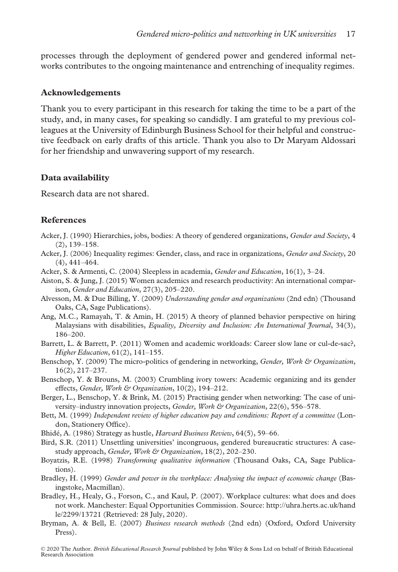processes through the deployment of gendered power and gendered informal networks contributes to the ongoing maintenance and entrenching of inequality regimes.

## Acknowledgements

Thank you to every participant in this research for taking the time to be a part of the study, and, in many cases, for speaking so candidly. I am grateful to my previous colleagues at the University of Edinburgh Business School for their helpful and constructive feedback on early drafts of this article. Thank you also to Dr Maryam Aldossari for her friendship and unwavering support of my research.

## Data availability

Research data are not shared.

## References

- Acker, J. (1990) Hierarchies, jobs, bodies: A theory of gendered organizations, Gender and Society, 4 (2), 139–158.
- Acker, J. (2006) Inequality regimes: Gender, class, and race in organizations, *Gender and Society*, 20 (4), 441–464.
- Acker, S. & Armenti, C. (2004) Sleepless in academia, Gender and Education, 16(1), 3–24.
- Aiston, S. & Jung, J. (2015) Women academics and research productivity: An international comparison, Gender and Education, 27(3), 205–220.
- Alvesson, M. & Due Billing, Y. (2009) Understanding gender and organizations (2nd edn) (Thousand Oaks, CA, Sage Publications).
- Ang, M.C., Ramayah, T. & Amin, H. (2015) A theory of planned behavior perspective on hiring Malaysians with disabilities, Equality, Diversity and Inclusion: An International Journal, 34(3), 186–200.
- Barrett, L. & Barrett, P. (2011) Women and academic workloads: Career slow lane or cul-de-sac?, Higher Education, 61(2), 141–155.
- Benschop, Y. (2009) The micro-politics of gendering in networking, *Gender, Work & Organization*, 16(2), 217–237.
- Benschop, Y. & Brouns, M. (2003) Crumbling ivory towers: Academic organizing and its gender effects, Gender, Work & Organization, 10(2), 194-212.
- Berger, L., Benschop, Y. & Brink, M. (2015) Practising gender when networking: The case of university–industry innovation projects, Gender, Work & Organization, 22(6), 556–578.
- Bett, M. (1999) Independent review of higher education pay and conditions: Report of a committee (London, Stationery Office).
- Bhide, A. (1986) Strategy as hustle, Harvard Business Review, 64(5), 59–66.
- Bird, S.R. (2011) Unsettling universities' incongruous, gendered bureaucratic structures: A casestudy approach, Gender, Work & Organization, 18(2), 202-230.
- Boyatzis, R.E. (1998) Transforming qualitative information (Thousand Oaks, CA, Sage Publications).
- Bradley, H. (1999) Gender and power in the workplace: Analysing the impact of economic change (Basingstoke, Macmillan).
- Bradley, H., Healy, G., Forson, C., and Kaul, P. (2007). Workplace cultures: what does and does not work. Manchester: Equal Opportunities Commission. Source: [http://uhra.herts.ac.uk/hand](http://uhra.herts.ac.uk/handle/2299/13721) [le/2299/13721](http://uhra.herts.ac.uk/handle/2299/13721) (Retrieved: 28 July, 2020).
- Bryman, A. & Bell, E. (2007) Business research methods (2nd edn) (Oxford, Oxford University Press).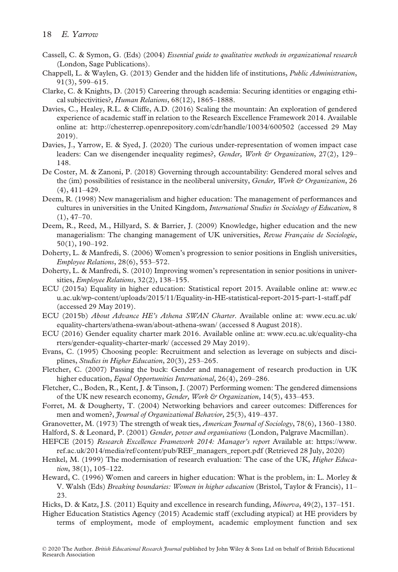- Cassell, C. & Symon, G. (Eds) (2004) Essential guide to qualitative methods in organizational research (London, Sage Publications).
- Chappell, L. & Waylen, G. (2013) Gender and the hidden life of institutions, Public Administration, 91(3), 599–615.
- Clarke, C. & Knights, D. (2015) Careering through academia: Securing identities or engaging ethical subjectivities?, Human Relations, 68(12), 1865–1888.
- Davies, C., Healey, R.L. & Cliffe, A.D. (2016) Scaling the mountain: An exploration of gendered experience of academic staff in relation to the Research Excellence Framework 2014. Available online at:<http://chesterrep.openrepository.com/cdr/handle/10034/600502> (accessed 29 May 2019).
- Davies, J., Yarrow, E. & Syed, J. (2020) The curious under-representation of women impact case leaders: Can we disengender inequality regimes?, Gender, Work & Organization, 27(2), 129– 148.
- De Coster, M. & Zanoni, P. (2018) Governing through accountability: Gendered moral selves and the (im) possibilities of resistance in the neoliberal university, *Gender, Work & Organization*, 26 (4), 411–429.
- Deem, R. (1998) New managerialism and higher education: The management of performances and cultures in universities in the United Kingdom, International Studies in Sociology of Education, 8  $(1), 47-70.$
- Deem, R., Reed, M., Hillyard, S. & Barrier, J. (2009) Knowledge, higher education and the new managerialism: The changing management of UK universities, Revue Française de Sociologie, 50(1), 190–192.
- Doherty, L. & Manfredi, S. (2006) Women's progression to senior positions in English universities, Employee Relations, 28(6), 553–572.
- Doherty, L. & Manfredi, S. (2010) Improving women's representation in senior positions in universities, *Employee Relations*, 32(2), 138–155.
- ECU (2015a) Equality in higher education: Statistical report 2015. Available online at: [www.ec](http://www.ecu.ac.uk/wp-content/uploads/2015/11/Equality-in-HE-statistical-report-2015-part-1-staff.pdf) [u.ac.uk/wp-content/uploads/2015/11/Equality-in-HE-statistical-report-2015-part-1-staff.pdf](http://www.ecu.ac.uk/wp-content/uploads/2015/11/Equality-in-HE-statistical-report-2015-part-1-staff.pdf) (accessed 29 May 2019).
- ECU (2015b) About Advance HE's Athena SWAN Charter. Available online at: [www.ecu.ac.uk/](http://www.ecu.ac.uk/equality-charters/athena-swan/about-athena-swan/) [equality-charters/athena-swan/about-athena-swan/](http://www.ecu.ac.uk/equality-charters/athena-swan/about-athena-swan/) (accessed 8 August 2018).
- ECU (2016) Gender equality charter mark 2016. Available online at: [www.ecu.ac.uk/equality-cha](http://www.ecu.ac.uk/equality-charters/gender-equality-charter-mark/) [rters/gender-equality-charter-mark/](http://www.ecu.ac.uk/equality-charters/gender-equality-charter-mark/) (accessed 29 May 2019).
- Evans, C. (1995) Choosing people: Recruitment and selection as leverage on subjects and disciplines, Studies in Higher Education, 20(3), 253–265.
- Fletcher, C. (2007) Passing the buck: Gender and management of research production in UK higher education, Equal Opportunities International, 26(4), 269–286.
- Fletcher, C., Boden, R., Kent, J. & Tinson, J. (2007) Performing women: The gendered dimensions of the UK new research economy, Gender, Work & Organization, 14(5), 433-453.
- Forret, M. & Dougherty, T. (2004) Networking behaviors and career outcomes: Differences for men and women?, *Journal of Organizational Behavior*, 25(3), 419–437.
- Granovetter, M. (1973) The strength of weak ties, American Journal of Sociology, 78(6), 1360–1380.
- Halford, S. & Leonard, P. (2001) Gender, power and organisations (London, Palgrave Macmillan).
- HEFCE (2015) Research Excellence Framework 2014: Manager's report Available at: [https://www.](https://www.ref.ac.uk/2014/media/ref/content/pub/REF_managers_report.pdf) [ref.ac.uk/2014/media/ref/content/pub/REF\\_managers\\_report.pdf](https://www.ref.ac.uk/2014/media/ref/content/pub/REF_managers_report.pdf) (Retrieved 28 July, 2020)
- Henkel, M. (1999) The modernisation of research evaluation: The case of the UK, Higher Education, 38(1), 105–122.
- Heward, C. (1996) Women and careers in higher education: What is the problem, in: L. Morley & V. Walsh (Eds) Breaking boundaries: Women in higher education (Bristol, Taylor & Francis), 11– 23.
- Hicks, D. & Katz, J.S. (2011) Equity and excellence in research funding, Minerva, 49(2), 137–151.

Higher Education Statistics Agency (2015) Academic staff (excluding atypical) at HE providers by terms of employment, mode of employment, academic employment function and sex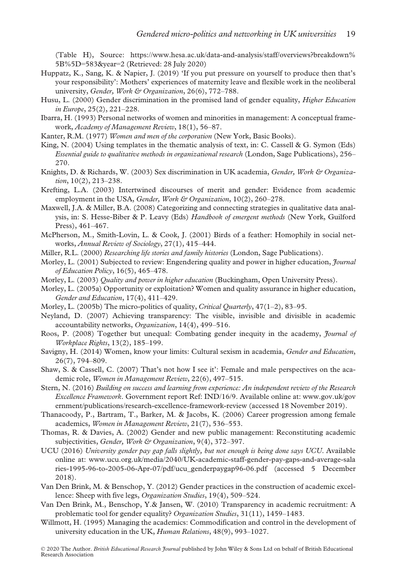(Table H), Source: https://www.hesa.ac.uk/data-and-analysis/staff/overviews?breakdown% 5B%5D=583&year=2 (Retrieved: 28 July 2020)

- Huppatz, K., Sang, K. & Napier, J. (2019) 'If you put pressure on yourself to produce then that's your responsibility': Mothers' experiences of maternity leave and flexible work in the neoliberal university, Gender, Work & Organization, 26(6), 772–788.
- Husu, L. (2000) Gender discrimination in the promised land of gender equality, Higher Education in Europe, 25(2), 221–228.
- Ibarra, H. (1993) Personal networks of women and minorities in management: A conceptual framework, Academy of Management Review, 18(1), 56–87.
- Kanter, R.M. (1977) Women and men of the corporation (New York, Basic Books).
- King, N. (2004) Using templates in the thematic analysis of text, in: C. Cassell & G. Symon (Eds) Essential guide to qualitative methods in organizational research (London, Sage Publications), 256– 270.
- Knights, D. & Richards, W. (2003) Sex discrimination in UK academia, Gender, Work & Organization, 10(2), 213–238.
- Krefting, L.A. (2003) Intertwined discourses of merit and gender: Evidence from academic employment in the USA, Gender, Work & Organization, 10(2), 260-278.
- Maxwell, J.A. & Miller, B.A. (2008) Categorizing and connecting strategies in qualitative data analysis, in: S. Hesse-Biber & P. Leavy (Eds) Handbook of emergent methods (New York, Guilford Press), 461–467.
- McPherson, M., Smith-Lovin, L. & Cook, J. (2001) Birds of a feather: Homophily in social networks, Annual Review of Sociology, 27(1), 415–444.
- Miller, R.L. (2000) Researching life stories and family histories (London, Sage Publications).
- Morley, L. (2001) Subjected to review: Engendering quality and power in higher education, *Journal* of Education Policy, 16(5), 465–478.
- Morley, L. (2003) *Quality and power in higher education* (Buckingham, Open University Press).
- Morley, L. (2005a) Opportunity or exploitation? Women and quality assurance in higher education, Gender and Education, 17(4), 411–429.
- Morley, L. (2005b) The micro-politics of quality, Critical Quarterly, 47(1-2), 83–95.
- Neyland, D. (2007) Achieving transparency: The visible, invisible and divisible in academic accountability networks, Organization, 14(4), 499–516.
- Roos, P. (2008) Together but unequal: Combating gender inequity in the academy, Journal of Workplace Rights, 13(2), 185–199.
- Savigny, H. (2014) Women, know your limits: Cultural sexism in academia, Gender and Education, 26(7), 794–809.
- Shaw, S. & Cassell, C. (2007) That's not how I see it': Female and male perspectives on the academic role, Women in Management Review, 22(6), 497–515.
- Stern, N. (2016) Building on success and learning from experience: An independent review of the Research Excellence Framework. Government report Ref: IND/16/9. Available online at: [www.gov.uk/gov](http://www.gov.uk/government/publications/research-excellence-framework-review) [ernment/publications/research-excellence-framework-review](http://www.gov.uk/government/publications/research-excellence-framework-review) (accessed 18 November 2019).
- Thanacoody, P., Bartram, T., Barker, M. & Jacobs, K. (2006) Career progression among female academics, Women in Management Review, 21(7), 536–553.
- Thomas, R. & Davies, A. (2002) Gender and new public management: Reconstituting academic subjectivities, Gender, Work & Organization, 9(4), 372-397.
- UCU (2016) University gender pay gap falls slightly, but not enough is being done says UCU. Available online at: [www.ucu.org.uk/media/2040/UK-academic-staff-gender-pay-gaps-and-average-sala](http://www.ucu.org.uk/media/2040/UK-academic-staff-gender-pay-gaps-and-average-salaries-1995-96-to-2005-06-Apr-07/pdf/ucu_genderpaygap96-06.pdf) [ries-1995-96-to-2005-06-Apr-07/pdf/ucu\\_genderpaygap96-06.pdf](http://www.ucu.org.uk/media/2040/UK-academic-staff-gender-pay-gaps-and-average-salaries-1995-96-to-2005-06-Apr-07/pdf/ucu_genderpaygap96-06.pdf) (accessed 5 December 2018).
- Van Den Brink, M. & Benschop, Y. (2012) Gender practices in the construction of academic excellence: Sheep with five legs, Organization Studies, 19(4), 509–524.
- Van Den Brink, M., Benschop, Y.& Jansen, W. (2010) Transparency in academic recruitment: A problematic tool for gender equality? Organization Studies, 31(11), 1459–1483.
- Willmott, H. (1995) Managing the academics: Commodification and control in the development of university education in the UK, Human Relations, 48(9), 993–1027.